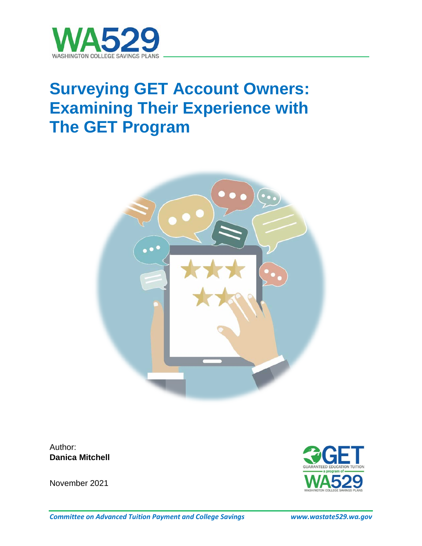

# **Surveying GET Account Owners: Examining Their Experience with The GET Program**



Author: **Danica Mitchell**

November 2021

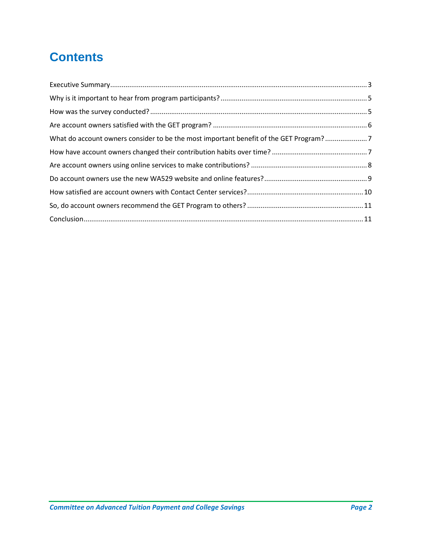# **Contents**

| What do account owners consider to be the most important benefit of the GET Program?7 |  |
|---------------------------------------------------------------------------------------|--|
|                                                                                       |  |
|                                                                                       |  |
|                                                                                       |  |
|                                                                                       |  |
|                                                                                       |  |
|                                                                                       |  |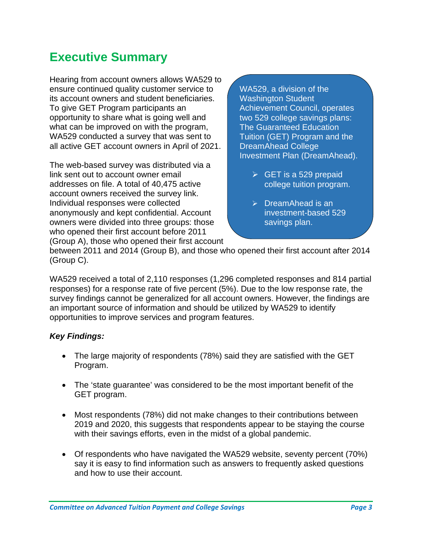### <span id="page-2-0"></span>**Executive Summary**

Hearing from account owners allows WA529 to ensure continued quality customer service to its account owners and student beneficiaries. To give GET Program participants an opportunity to share what is going well and what can be improved on with the program, WA529 conducted a survey that was sent to all active GET account owners in April of 2021.

The web-based survey was distributed via a link sent out to account owner email addresses on file. A total of 40,475 active account owners received the survey link. Individual responses were collected anonymously and kept confidential. Account owners were divided into three groups: those who opened their first account before 2011 (Group A), those who opened their first account WA529, a division of the Washington Student Achievement Council, operates two 529 college savings plans: The Guaranteed Education Tuition (GET) Program and the DreamAhead College Investment Plan (DreamAhead).

- $\triangleright$  GET is a 529 prepaid college tuition program.
- $\triangleright$  DreamAhead is an investment-based 529 savings plan.

between 2011 and 2014 (Group B), and those who opened their first account after 2014 (Group C).

WA529 received a total of 2,110 responses (1,296 completed responses and 814 partial responses) for a response rate of five percent (5%). Due to the low response rate, the survey findings cannot be generalized for all account owners. However, the findings are an important source of information and should be utilized by WA529 to identify opportunities to improve services and program features.

#### *Key Findings:*

- The large majority of respondents (78%) said they are satisfied with the GET Program.
- The 'state guarantee' was considered to be the most important benefit of the GET program.
- Most respondents (78%) did not make changes to their contributions between 2019 and 2020, this suggests that respondents appear to be staying the course with their savings efforts, even in the midst of a global pandemic.
- Of respondents who have navigated the WA529 website, seventy percent (70%) say it is easy to find information such as answers to frequently asked questions and how to use their account.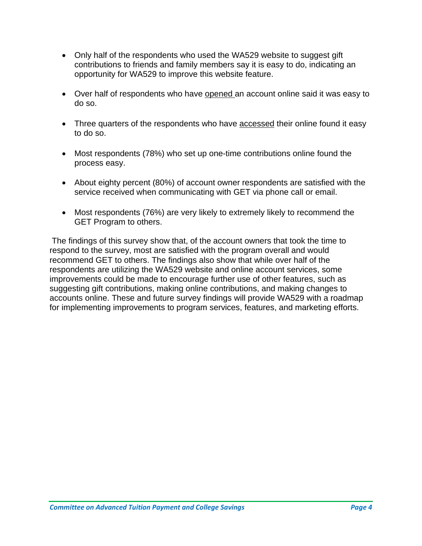- Only half of the respondents who used the WA529 website to suggest gift contributions to friends and family members say it is easy to do, indicating an opportunity for WA529 to improve this website feature.
- Over half of respondents who have opened an account online said it was easy to do so.
- Three quarters of the respondents who have accessed their online found it easy to do so.
- Most respondents (78%) who set up one-time contributions online found the process easy.
- About eighty percent (80%) of account owner respondents are satisfied with the service received when communicating with GET via phone call or email.
- Most respondents (76%) are very likely to extremely likely to recommend the GET Program to others.

The findings of this survey show that, of the account owners that took the time to respond to the survey, most are satisfied with the program overall and would recommend GET to others. The findings also show that while over half of the respondents are utilizing the WA529 website and online account services, some improvements could be made to encourage further use of other features, such as suggesting gift contributions, making online contributions, and making changes to accounts online. These and future survey findings will provide WA529 with a roadmap for implementing improvements to program services, features, and marketing efforts.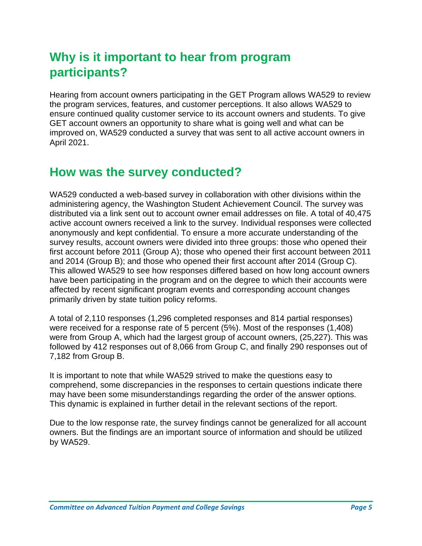### <span id="page-4-0"></span>**Why is it important to hear from program participants?**

Hearing from account owners participating in the GET Program allows WA529 to review the program services, features, and customer perceptions. It also allows WA529 to ensure continued quality customer service to its account owners and students. To give GET account owners an opportunity to share what is going well and what can be improved on, WA529 conducted a survey that was sent to all active account owners in April 2021.

### <span id="page-4-1"></span>**How was the survey conducted?**

WA529 conducted a web-based survey in collaboration with other divisions within the administering agency, the Washington Student Achievement Council. The survey was distributed via a link sent out to account owner email addresses on file. A total of 40,475 active account owners received a link to the survey. Individual responses were collected anonymously and kept confidential. To ensure a more accurate understanding of the survey results, account owners were divided into three groups: those who opened their first account before 2011 (Group A); those who opened their first account between 2011 and 2014 (Group B); and those who opened their first account after 2014 (Group C). This allowed WA529 to see how responses differed based on how long account owners have been participating in the program and on the degree to which their accounts were affected by recent significant program events and corresponding account changes primarily driven by state tuition policy reforms.

A total of 2,110 responses (1,296 completed responses and 814 partial responses) were received for a response rate of 5 percent (5%). Most of the responses (1,408) were from Group A, which had the largest group of account owners, (25,227). This was followed by 412 responses out of 8,066 from Group C, and finally 290 responses out of 7,182 from Group B.

It is important to note that while WA529 strived to make the questions easy to comprehend, some discrepancies in the responses to certain questions indicate there may have been some misunderstandings regarding the order of the answer options. This dynamic is explained in further detail in the relevant sections of the report.

Due to the low response rate, the survey findings cannot be generalized for all account owners. But the findings are an important source of information and should be utilized by WA529.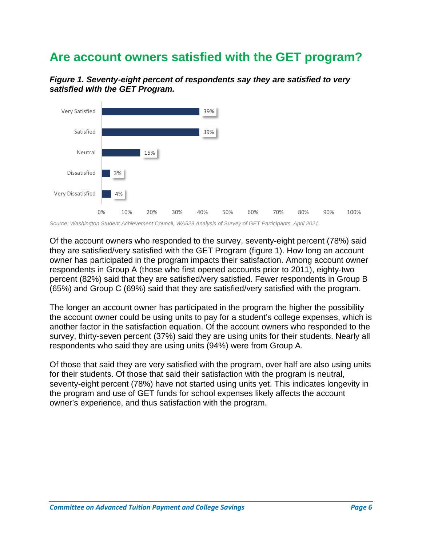### <span id="page-5-0"></span>**Are account owners satisfied with the GET program?**





*Source: Washington Student Achievement Council, WA529 Analysis of Survey of GET Participants, April 2021.* 

Of the account owners who responded to the survey, seventy-eight percent (78%) said they are satisfied/very satisfied with the GET Program (figure 1). How long an account owner has participated in the program impacts their satisfaction. Among account owner respondents in Group A (those who first opened accounts prior to 2011), eighty-two percent (82%) said that they are satisfied/very satisfied. Fewer respondents in Group B (65%) and Group C (69%) said that they are satisfied/very satisfied with the program.

The longer an account owner has participated in the program the higher the possibility the account owner could be using units to pay for a student's college expenses, which is another factor in the satisfaction equation. Of the account owners who responded to the survey, thirty-seven percent (37%) said they are using units for their students. Nearly all respondents who said they are using units (94%) were from Group A.

Of those that said they are very satisfied with the program, over half are also using units for their students. Of those that said their satisfaction with the program is neutral, seventy-eight percent (78%) have not started using units yet. This indicates longevity in the program and use of GET funds for school expenses likely affects the account owner's experience, and thus satisfaction with the program.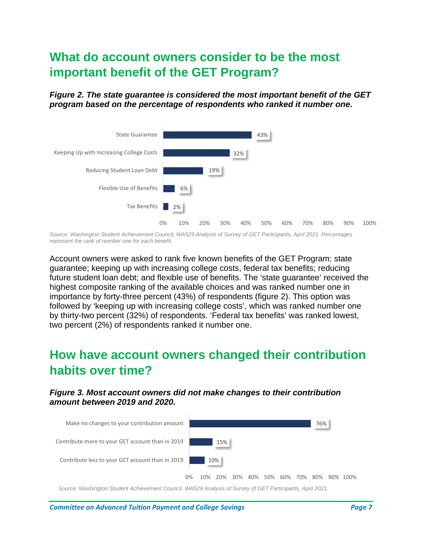### <span id="page-6-0"></span>**What do account owners consider to be the most important benefit of the GET Program?**

#### *Figure 2. The state guarantee is considered the most important benefit of the GET program based on the percentage of respondents who ranked it number one.*



*Source: Washington Student Achievement Council, WA529 Analysis of Survey of GET Participants, April 2021. Percentages represent the rank of number one for each benefit.*

Account owners were asked to rank five known benefits of the GET Program: state guarantee; keeping up with increasing college costs, federal tax benefits; reducing future student loan debt; and flexible use of benefits. The 'state guarantee' received the highest composite ranking of the available choices and was ranked number one in importance by forty-three percent (43%) of respondents (figure 2). This option was followed by 'keeping up with increasing college costs', which was ranked number one by thirty-two percent (32%) of respondents. 'Federal tax benefits' was ranked lowest, two percent (2%) of respondents ranked it number one.

### <span id="page-6-1"></span>**How have account owners changed their contribution habits over time?**

#### *Figure 3. Most account owners did not make changes to their contribution amount between 2019 and 2020.*



*Source: Washington Student Achievement Council, WA529 Analysis of Survey of GET Participants, April 2021.*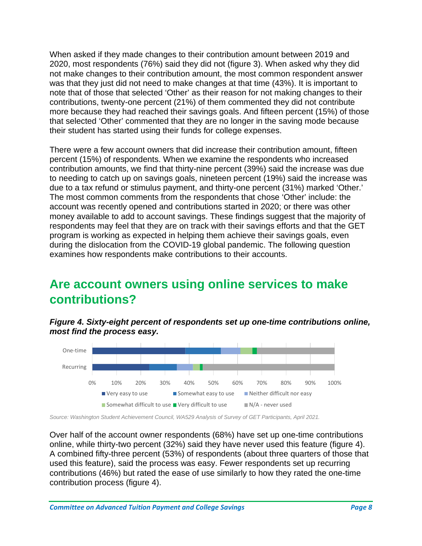When asked if they made changes to their contribution amount between 2019 and 2020, most respondents (76%) said they did not (figure 3). When asked why they did not make changes to their contribution amount, the most common respondent answer was that they just did not need to make changes at that time (43%). It is important to note that of those that selected 'Other' as their reason for not making changes to their contributions, twenty-one percent (21%) of them commented they did not contribute more because they had reached their savings goals. And fifteen percent (15%) of those that selected 'Other' commented that they are no longer in the saving mode because their student has started using their funds for college expenses.

There were a few account owners that did increase their contribution amount, fifteen percent (15%) of respondents. When we examine the respondents who increased contribution amounts, we find that thirty-nine percent (39%) said the increase was due to needing to catch up on savings goals, nineteen percent (19%) said the increase was due to a tax refund or stimulus payment, and thirty-one percent (31%) marked 'Other.' The most common comments from the respondents that chose 'Other' include: the account was recently opened and contributions started in 2020; or there was other money available to add to account savings. These findings suggest that the majority of respondents may feel that they are on track with their savings efforts and that the GET program is working as expected in helping them achieve their savings goals, even during the dislocation from the COVID-19 global pandemic. The following question examines how respondents make contributions to their accounts.

### <span id="page-7-0"></span>**Are account owners using online services to make contributions?**

*Figure 4. Sixty-eight percent of respondents set up one-time contributions online, most find the process easy.*



*Source: Washington Student Achievement Council, WA529 Analysis of Survey of GET Participants, April 2021.*

Over half of the account owner respondents (68%) have set up one-time contributions online, while thirty-two percent (32%) said they have never used this feature (figure 4). A combined fifty-three percent (53%) of respondents (about three quarters of those that used this feature), said the process was easy. Fewer respondents set up recurring contributions (46%) but rated the ease of use similarly to how they rated the one-time contribution process (figure 4).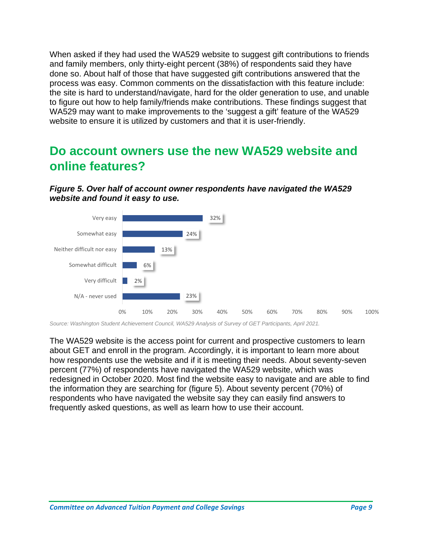When asked if they had used the WA529 website to suggest gift contributions to friends and family members, only thirty-eight percent (38%) of respondents said they have done so. About half of those that have suggested gift contributions answered that the process was easy. Common comments on the dissatisfaction with this feature include: the site is hard to understand/navigate, hard for the older generation to use, and unable to figure out how to help family/friends make contributions. These findings suggest that WA529 may want to make improvements to the 'suggest a gift' feature of the WA529 website to ensure it is utilized by customers and that it is user-friendly.

### <span id="page-8-0"></span>**Do account owners use the new WA529 website and online features?**





*Source: Washington Student Achievement Council, WA529 Analysis of Survey of GET Participants, April 2021.*

The WA529 website is the access point for current and prospective customers to learn about GET and enroll in the program. Accordingly, it is important to learn more about how respondents use the website and if it is meeting their needs. About seventy-seven percent (77%) of respondents have navigated the WA529 website, which was redesigned in October 2020. Most find the website easy to navigate and are able to find the information they are searching for (figure 5). About seventy percent (70%) of respondents who have navigated the website say they can easily find answers to frequently asked questions, as well as learn how to use their account.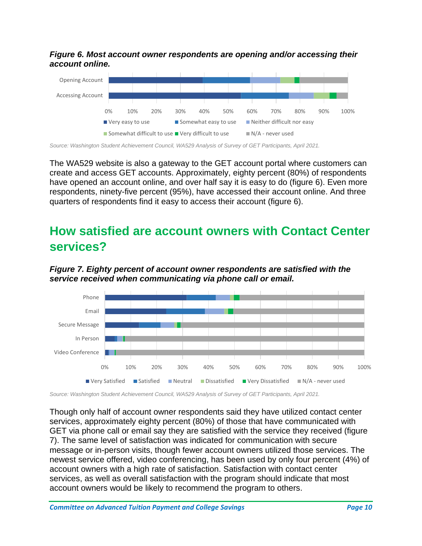*Figure 6. Most account owner respondents are opening and/or accessing their account online.*



*Source: Washington Student Achievement Council, WA529 Analysis of Survey of GET Participants, April 2021.*

The WA529 website is also a gateway to the GET account portal where customers can create and access GET accounts. Approximately, eighty percent (80%) of respondents have opened an account online, and over half say it is easy to do (figure 6). Even more respondents, ninety-five percent (95%), have accessed their account online. And three quarters of respondents find it easy to access their account (figure 6).

### <span id="page-9-0"></span>**How satisfied are account owners with Contact Center services?**



*Figure 7. Eighty percent of account owner respondents are satisfied with the service received when communicating via phone call or email.* 

*Source: Washington Student Achievement Council, WA529 Analysis of Survey of GET Participants, April 2021.*

Though only half of account owner respondents said they have utilized contact center services, approximately eighty percent (80%) of those that have communicated with GET via phone call or email say they are satisfied with the service they received (figure 7). The same level of satisfaction was indicated for communication with secure message or in-person visits, though fewer account owners utilized those services. The newest service offered, video conferencing, has been used by only four percent (4%) of account owners with a high rate of satisfaction. Satisfaction with contact center services, as well as overall satisfaction with the program should indicate that most account owners would be likely to recommend the program to others.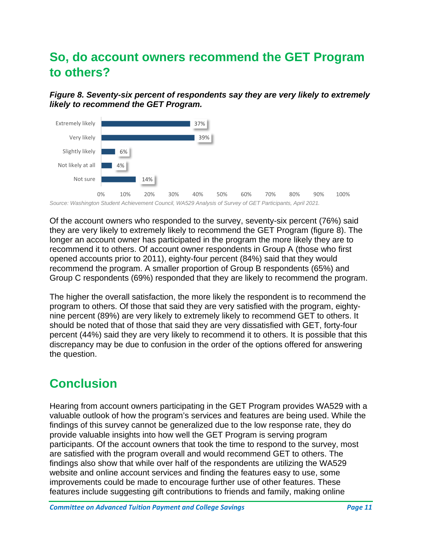### <span id="page-10-0"></span>**So, do account owners recommend the GET Program to others?**

*Figure 8. Seventy-six percent of respondents say they are very likely to extremely likely to recommend the GET Program.*



Of the account owners who responded to the survey, seventy-six percent (76%) said they are very likely to extremely likely to recommend the GET Program (figure 8). The longer an account owner has participated in the program the more likely they are to recommend it to others. Of account owner respondents in Group A (those who first opened accounts prior to 2011), eighty-four percent (84%) said that they would recommend the program. A smaller proportion of Group B respondents (65%) and Group C respondents (69%) responded that they are likely to recommend the program.

The higher the overall satisfaction, the more likely the respondent is to recommend the program to others. Of those that said they are very satisfied with the program, eightynine percent (89%) are very likely to extremely likely to recommend GET to others. It should be noted that of those that said they are very dissatisfied with GET, forty-four percent (44%) said they are very likely to recommend it to others. It is possible that this discrepancy may be due to confusion in the order of the options offered for answering the question.

## <span id="page-10-1"></span>**Conclusion**

Hearing from account owners participating in the GET Program provides WA529 with a valuable outlook of how the program's services and features are being used. While the findings of this survey cannot be generalized due to the low response rate, they do provide valuable insights into how well the GET Program is serving program participants. Of the account owners that took the time to respond to the survey, most are satisfied with the program overall and would recommend GET to others. The findings also show that while over half of the respondents are utilizing the WA529 website and online account services and finding the features easy to use, some improvements could be made to encourage further use of other features. These features include suggesting gift contributions to friends and family, making online